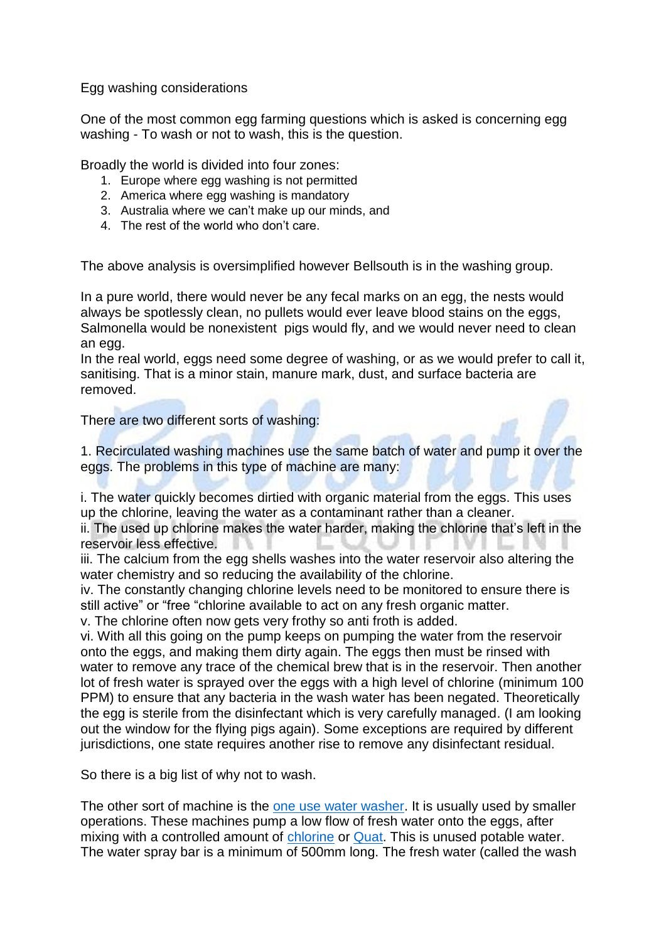Egg washing considerations

One of the most common egg farming questions which is asked is concerning egg washing - To wash or not to wash, this is the question.

Broadly the world is divided into four zones:

- 1. Europe where egg washing is not permitted
- 2. America where egg washing is mandatory
- 3. Australia where we can't make up our minds, and
- 4. The rest of the world who don't care.

The above analysis is oversimplified however Bellsouth is in the washing group.

In a pure world, there would never be any fecal marks on an egg, the nests would always be spotlessly clean, no pullets would ever leave blood stains on the eggs, Salmonella would be nonexistent pigs would fly, and we would never need to clean an egg.

In the real world, eggs need some degree of washing, or as we would prefer to call it, sanitising. That is a minor stain, manure mark, dust, and surface bacteria are removed.

There are two different sorts of washing:

1. Recirculated washing machines use the same batch of water and pump it over the eggs. The problems in this type of machine are many:

i. The water quickly becomes dirtied with organic material from the eggs. This uses up the chlorine, leaving the water as a contaminant rather than a cleaner.

ii. The used up chlorine makes the water harder, making the chlorine that's left in the reservoir less effective.

iii. The calcium from the egg shells washes into the water reservoir also altering the water chemistry and so reducing the availability of the chlorine.

iv. The constantly changing chlorine levels need to be monitored to ensure there is still active" or "free "chlorine available to act on any fresh organic matter.

v. The chlorine often now gets very frothy so anti froth is added.

vi. With all this going on the pump keeps on pumping the water from the reservoir onto the eggs, and making them dirty again. The eggs then must be rinsed with water to remove any trace of the chemical brew that is in the reservoir. Then another lot of fresh water is sprayed over the eggs with a high level of chlorine (minimum 100 PPM) to ensure that any bacteria in the wash water has been negated. Theoretically the egg is sterile from the disinfectant which is very carefully managed. (I am looking out the window for the flying pigs again). Some exceptions are required by different jurisdictions, one state requires another rise to remove any disinfectant residual.

So there is a big list of why not to wash.

The other sort of machine is the one use [water washer.](http://eshop.bellsouth.com.au/epages/bellsouth.sf/en_AU/?ObjectID=1271591) It is usually used by smaller operations. These machines pump a low flow of fresh water onto the eggs, after mixing with a controlled amount of [chlorine](http://eshop.bellsouth.com.au/epages/bellsouth.sf/en_AU/?ObjectPath=/Shops/bellsouth/Products/EGGCEPTIONAL) or [Quat.](http://eshop.bellsouth.com.au/epages/bellsouth.sf/en_AU/?ObjectPath=/Shops/bellsouth/Products/EGGCEPTIONAL-Q) This is unused potable water. The water spray bar is a minimum of 500mm long. The fresh water (called the wash